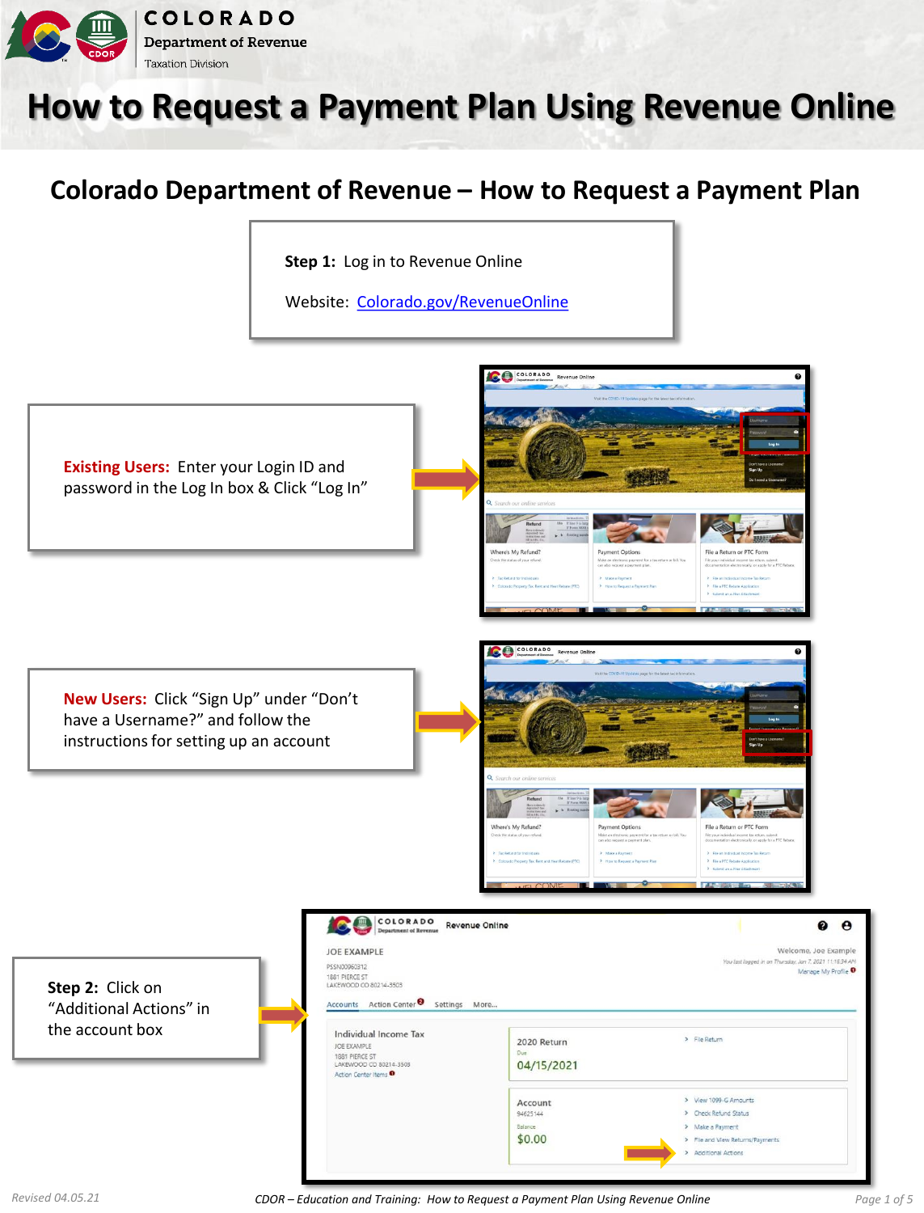

## **How to Request a Payment Plan Using Revenue Online**

## **Colorado Department of Revenue – How to Request a Payment Plan**

COLORADO

Vhere's My Refund?

COLORADO Re

File a Return or PTC Form

File a Return or PTC Form

**Step 1:** Log in to Revenue Online

Website: [Colorado.gov/RevenueOnline](https://www.colorado.gov/revenueonline/_/)

**Existing Users:** Enter your Login ID and password in the Log In box & Click "Log In"

**New Users:** Click "Sign Up" under "Don't have a Username?" and follow the instructions for setting up an account

COLORADO Revenue Online  $\bullet$   $\bullet$ **JOE EXAMPLE** Welcome, Joe Example n: Jan 7, 2021 11:16:34 AM PSSN00960312 Manage My Profile <sup>O</sup> 1881 PIERCE ST LAKEWOOD CO 80214-3503 Accounts Action Center 8 Settings More. "Additional Actions" in Individual Income Tax > File Return 2020 Return JOE EXAMPLE 1881 PIERCE ST<br>LAKEWOOD CO 80214-3503 04/15/2021 Action Center Items<sup>O</sup> > View 1099-G Amounts Account > Check Refund Status 94625144 Ralance > Make a Payment  $$0.00$ > File and View Returns/Payments Additional Actions

Vhere's My Refund?

**Step 2:** Click on

the account box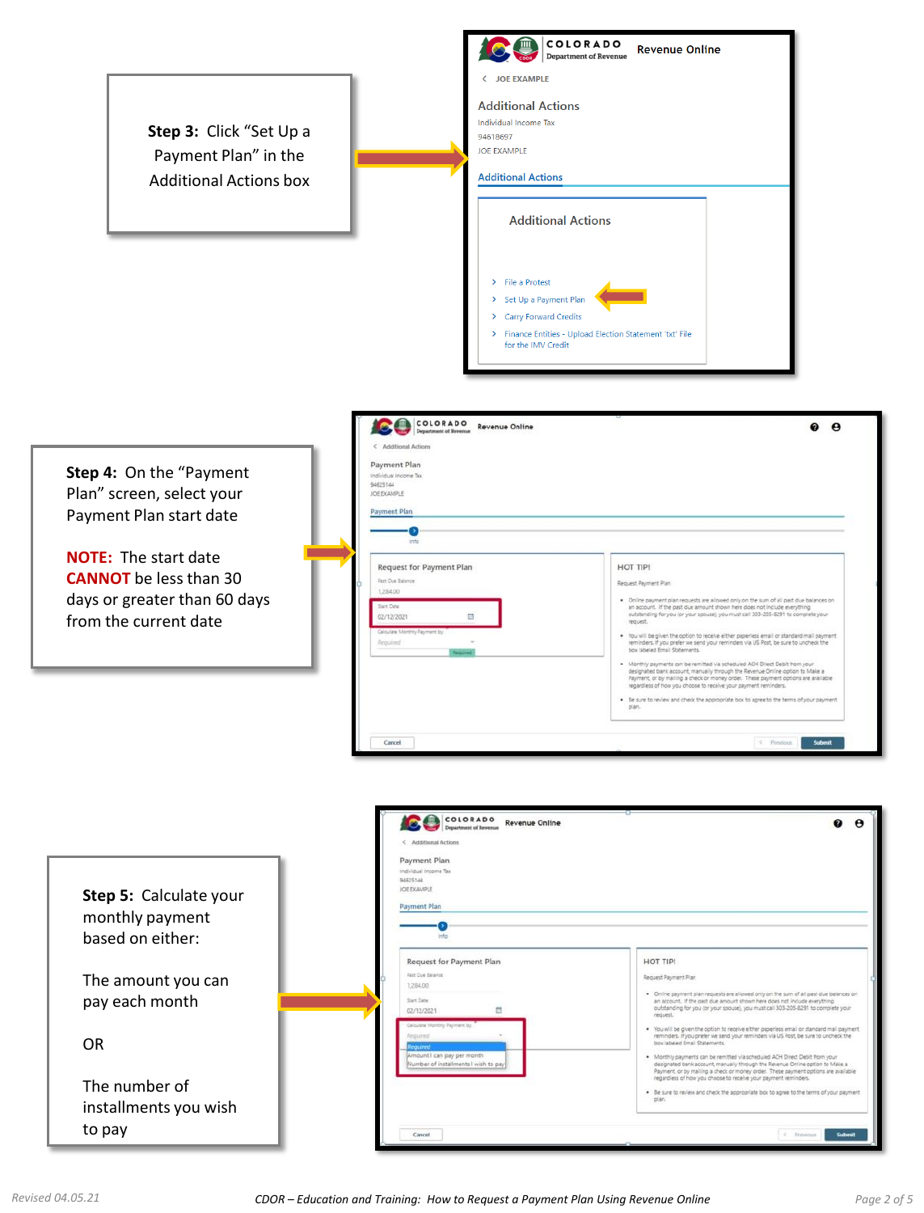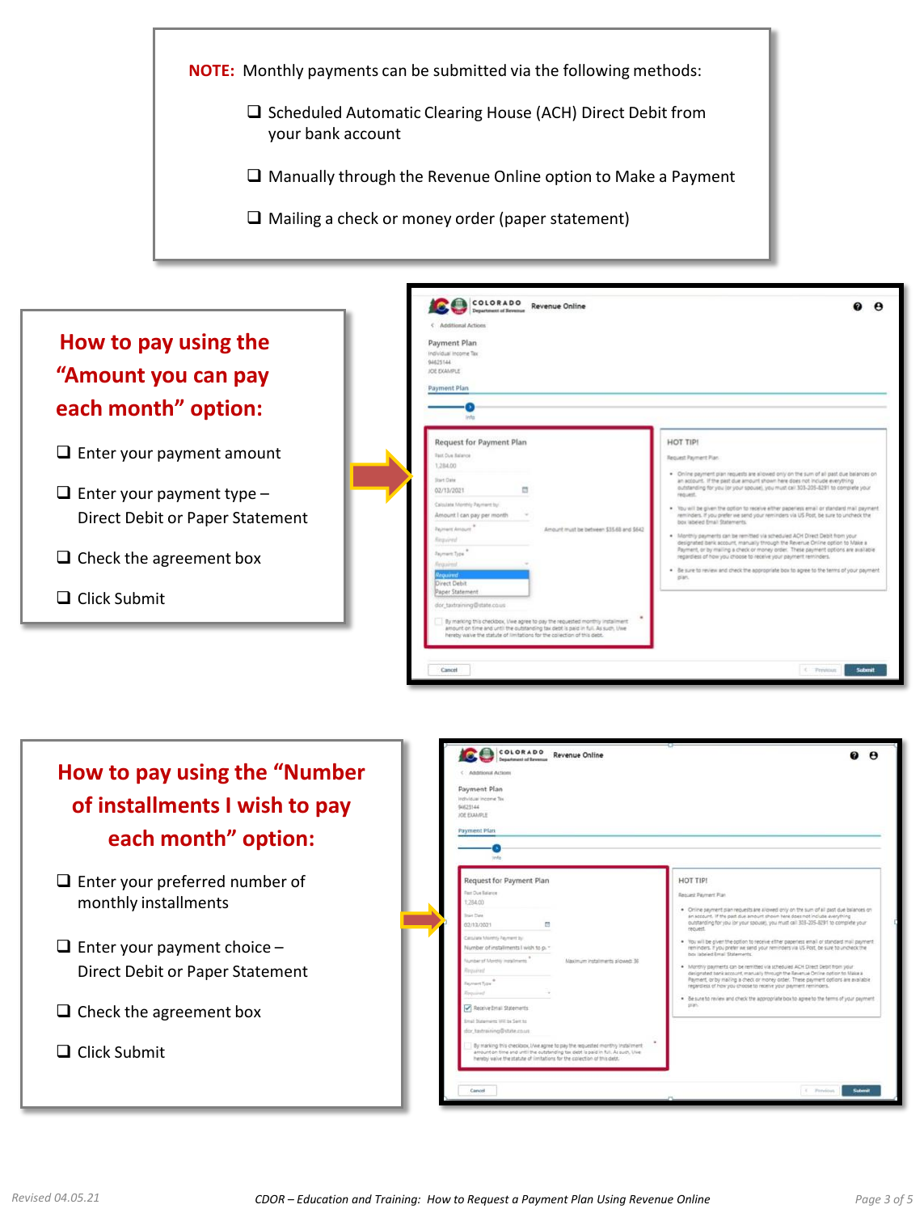



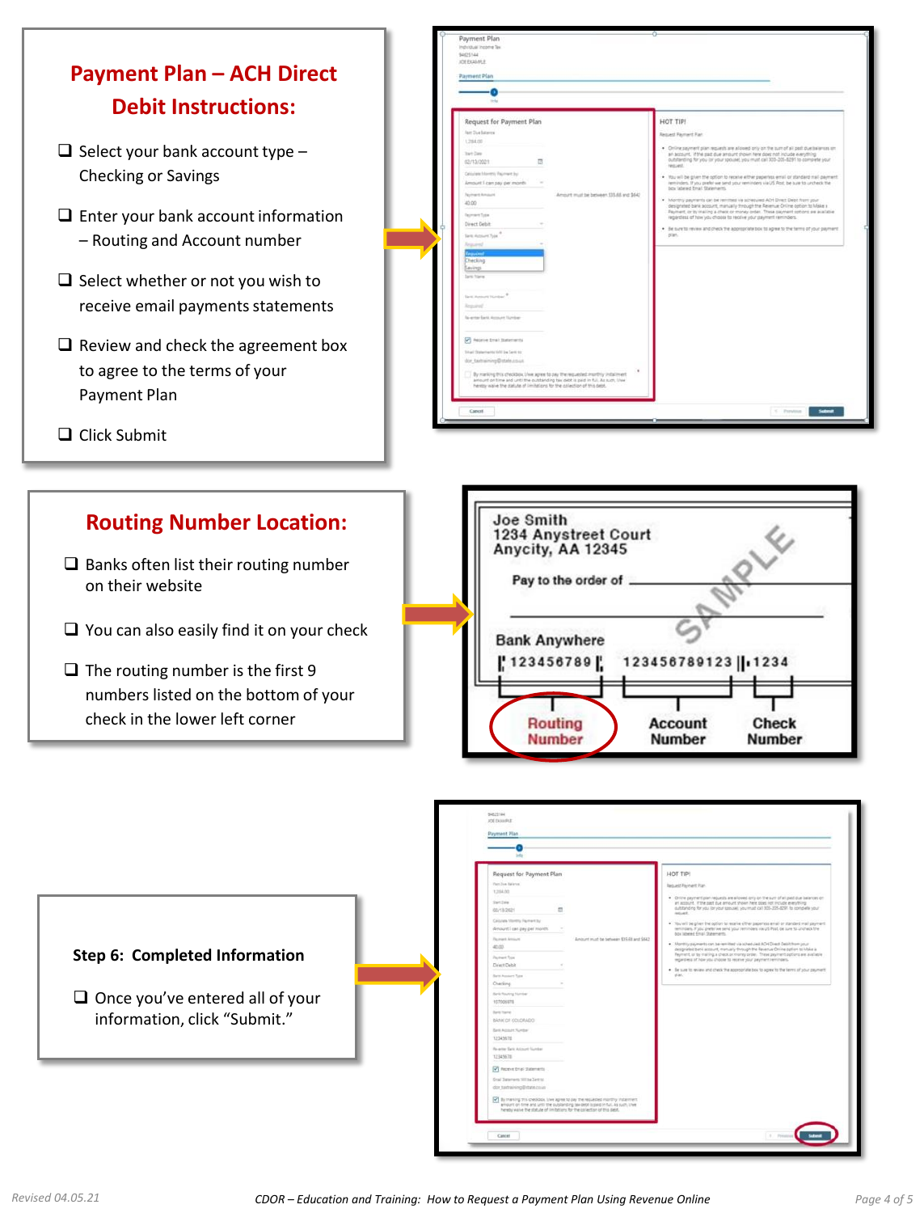



|                                                                        | Request for Payment Plan<br>Fast Sue Releves<br>1,254,00                                                                                                                            | HOT TIP!<br><b>Request Payment Plan</b>                                                                                                                                                                                                                                                                                                                                                                                                                                                                                                  |
|------------------------------------------------------------------------|-------------------------------------------------------------------------------------------------------------------------------------------------------------------------------------|------------------------------------------------------------------------------------------------------------------------------------------------------------------------------------------------------------------------------------------------------------------------------------------------------------------------------------------------------------------------------------------------------------------------------------------------------------------------------------------------------------------------------------------|
|                                                                        | Start Date<br>$\sim$<br>02/13/2021<br>Calculate Monthly Payment by:<br>Amount I can pay per month.<br><b>Received Amount</b>                                                        | . Circles payment plan requests are allowed only on the suri of all past due believing on<br>an account. If the past due amount shown here does not include everything<br>outstanding for you lor your spouse), you must call 303-205-8291 to complete your<br>request.<br>. You will be given the option to receive either paperiess email or planded mail peyment<br>reminders. If you prefer we send your reminders via US Post, be sure to uncheck the<br>box labered Email Statements.<br>Amount must be between \$35.65 and \$542. |
| <b>Step 6: Completed Information</b>                                   | 40.00<br><b>Payment Tops</b><br>Direct Debit<br>Baris Account Tues                                                                                                                  | . Monthly payments can be remitted via scheduled AD1 Direct Delsit from your<br>designated bank account, manually through the Revenue Online option to Make a<br>Fayment, or by mailing a check or money order. These payment potions are available<br>repartiless of how you choose to receive your payment reminders.<br>. Be sure to review and check the appropriate box to agree to the terms of your payment<br>plan:                                                                                                              |
| $\Box$ Once you've entered all of your<br>information, click "Submit." | Checking<br><b>Bank Routing Number</b><br>107006978<br><b>Bank Traine</b><br>BANK OF COLORADO                                                                                       |                                                                                                                                                                                                                                                                                                                                                                                                                                                                                                                                          |
|                                                                        | <b>Earl Account Number</b><br>12345678<br>Re-arran Sank Autount Number<br>12345678                                                                                                  |                                                                                                                                                                                                                                                                                                                                                                                                                                                                                                                                          |
|                                                                        | <b>D</b> Receive Email Statements<br>Eval Satement Willas Sent to<br>dor taxtraining@state.co.in<br>7 By marking this checkbox, Live agree to pay the requested monthly installment |                                                                                                                                                                                                                                                                                                                                                                                                                                                                                                                                          |